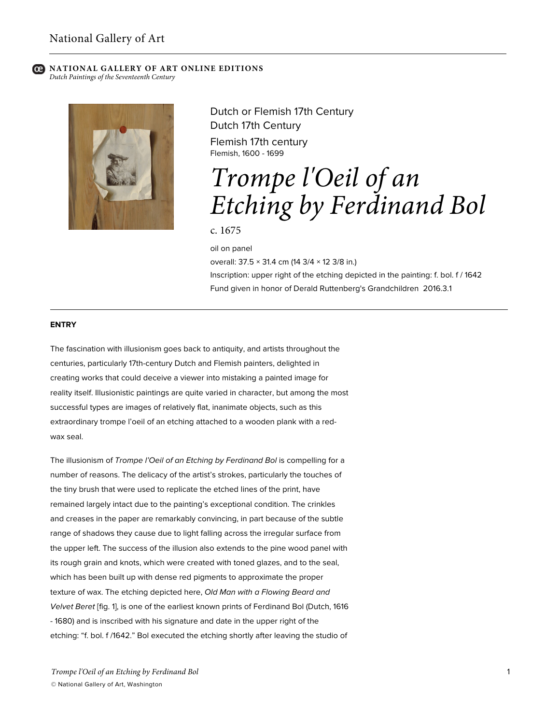# **NATIONAL GALLERY OF ART ONLINE EDITIONS**

*Dutch Paintings of the Seventeenth Century*



Dutch or Flemish 17th Century Dutch 17th Century Flemish 17th century Flemish, 1600 - 1699

# *Trompe l'Oeil of an Etching by Ferdinand Bol*

# c. 1675

oil on panel

overall: 37.5 × 31.4 cm (14 3/4 × 12 3/8 in.) Inscription: upper right of the etching depicted in the painting: f. bol. f / 1642 Fund given in honor of Derald Ruttenberg's Grandchildren 2016.3.1

#### **ENTRY**

The fascination with illusionism goes back to antiquity, and artists throughout the centuries, particularly 17th-century Dutch and Flemish painters, delighted in creating works that could deceive a viewer into mistaking a painted image for reality itself. Illusionistic paintings are quite varied in character, but among the most successful types are images of relatively flat, inanimate objects, such as this extraordinary trompe l'oeil of an etching attached to a wooden plank with a redwax seal.

The illusionism of *Trompe l'Oeil of an Etching by Ferdinand Bol* is compelling for a number of reasons. The delicacy of the artist's strokes, particularly the touches of the tiny brush that were used to replicate the etched lines of the print, have remained largely intact due to the painting's exceptional condition. The crinkles and creases in the paper are remarkably convincing, in part because of the subtle range of shadows they cause due to light falling across the irregular surface from the upper left. The success of the illusion also extends to the pine wood panel with its rough grain and knots, which were created with toned glazes, and to the seal, which has been built up with dense red pigments to approximate the proper texture of wax. The etching depicted here, *Old Man with a Flowing Beard and Velvet Beret* [fig. 1], is one of the earliest known prints of Ferdinand Bol (Dutch, 1616 - 1680) and is inscribed with his signature and date in the upper right of the etching: "f. bol. f /1642." Bol executed the etching shortly after leaving the studio of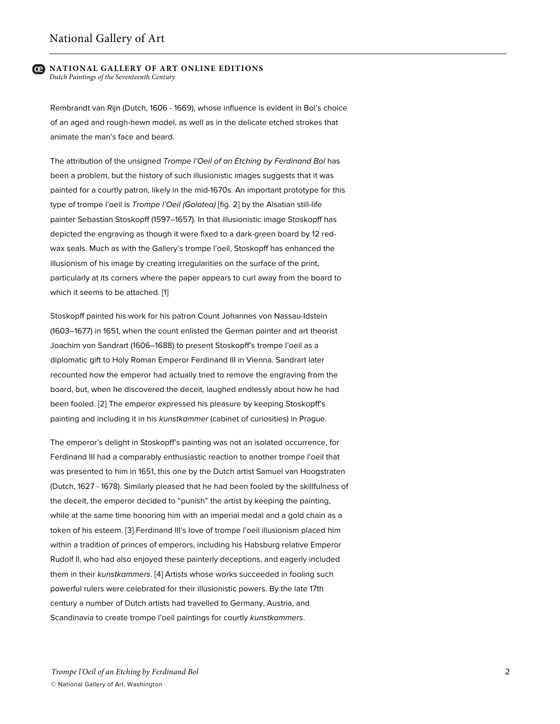Rembrandt van Rijn (Dutch, 1606 - 1669), whose influence is evident in Bol's choice of an aged and rough-hewn model, as well as in the delicate etched strokes that animate the man's face and beard.

The attribution of the unsigned *Trompe l'Oeil of an Etching by Ferdinand Bol* has been a problem, but the history of such illusionistic images suggests that it was painted for a courtly patron, likely in the mid-1670s. An important prototype for this type of trompe l'oeil is *Trompe l'Oeil (Galatea)* [fig. 2] by the Alsatian still-life painter Sebastian Stoskopff (1597–1657). In that illusionistic image Stoskopff has depicted the engraving as though it were fixed to a dark-green board by 12 redwax seals. Much as with the Gallery's trompe l'oeil, Stoskopff has enhanced the illusionism of his image by creating irregularities on the surface of the print, particularly at its corners where the paper appears to curl away from the board to which it seems to be attached. [1]

Stoskopff painted his work for his patron Count Johannes von Nassau-Idstein (1603–1677) in 1651, when the count enlisted the German painter and art theorist Joachim von Sandrart (1606–1688) to present Stoskopff's trompe l'oeil as a diplomatic gift to Holy Roman Emperor Ferdinand III in Vienna. Sandrart later recounted how the emperor had actually tried to remove the engraving from the board, but, when he discovered the deceit, laughed endlessly about how he had been fooled. [2] The emperor expressed his pleasure by keeping Stoskopff's painting and including it in his *kunstkammer* (cabinet of curiosities) in Prague.

The emperor's delight in Stoskopff's painting was not an isolated occurrence, for Ferdinand III had a comparably enthusiastic reaction to another trompe l'oeil that was presented to him in 1651, this one by the Dutch artist Samuel van Hoogstraten (Dutch, 1627 - 1678). Similarly pleased that he had been fooled by the skillfulness of the deceit, the emperor decided to "punish" the artist by keeping the painting, while at the same time honoring him with an imperial medal and a gold chain as a token of his esteem. [3] Ferdinand III's love of trompe l'oeil illusionism placed him within a tradition of princes of emperors, including his Habsburg relative Emperor Rudolf II, who had also enjoyed these painterly deceptions, and eagerly included them in their *kunstkammers*. [4] Artists whose works succeeded in fooling such powerful rulers were celebrated for their illusionistic powers. By the late 17th century a number of Dutch artists had travelled to Germany, Austria, and Scandinavia to create trompe l'oeil paintings for courtly *kunstkammers*.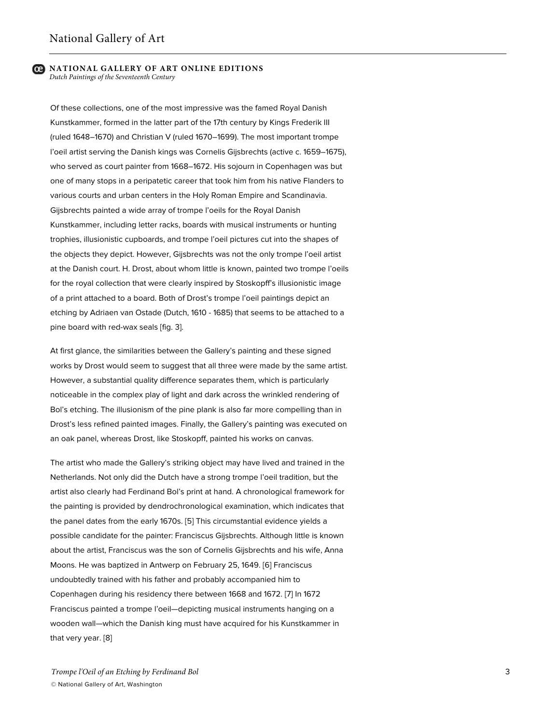Of these collections, one of the most impressive was the famed Royal Danish Kunstkammer, formed in the latter part of the 17th century by Kings Frederik III (ruled 1648–1670) and Christian V (ruled 1670–1699). The most important trompe l'oeil artist serving the Danish kings was Cornelis Gijsbrechts (active c. 1659–1675), who served as court painter from 1668–1672. His sojourn in Copenhagen was but one of many stops in a peripatetic career that took him from his native Flanders to various courts and urban centers in the Holy Roman Empire and Scandinavia. Gijsbrechts painted a wide array of trompe l'oeils for the Royal Danish Kunstkammer, including letter racks, boards with musical instruments or hunting trophies, illusionistic cupboards, and trompe l'oeil pictures cut into the shapes of the objects they depict. However, Gijsbrechts was not the only trompe l'oeil artist at the Danish court. H. Drost, about whom little is known, painted two trompe l'oeils for the royal collection that were clearly inspired by Stoskopff's illusionistic image of a print attached to a board. Both of Drost's trompe l'oeil paintings depict an etching by Adriaen van Ostade (Dutch, 1610 - 1685) that seems to be attached to a pine board with red-wax seals [fig. 3].

At first glance, the similarities between the Gallery's painting and these signed works by Drost would seem to suggest that all three were made by the same artist. However, a substantial quality difference separates them, which is particularly noticeable in the complex play of light and dark across the wrinkled rendering of Bol's etching. The illusionism of the pine plank is also far more compelling than in Drost's less refined painted images. Finally, the Gallery's painting was executed on an oak panel, whereas Drost, like Stoskopff, painted his works on canvas.

The artist who made the Gallery's striking object may have lived and trained in the Netherlands. Not only did the Dutch have a strong trompe l'oeil tradition, but the artist also clearly had Ferdinand Bol's print at hand. A chronological framework for the painting is provided by dendrochronological examination, which indicates that the panel dates from the early 1670s. [5] This circumstantial evidence yields a possible candidate for the painter: Franciscus Gijsbrechts. Although little is known about the artist, Franciscus was the son of Cornelis Gijsbrechts and his wife, Anna Moons. He was baptized in Antwerp on February 25, 1649. [6] Franciscus undoubtedly trained with his father and probably accompanied him to Copenhagen during his residency there between 1668 and 1672. [7] In 1672 Franciscus painted a trompe l'oeil—depicting musical instruments hanging on a wooden wall—which the Danish king must have acquired for his Kunstkammer in that very year. [8]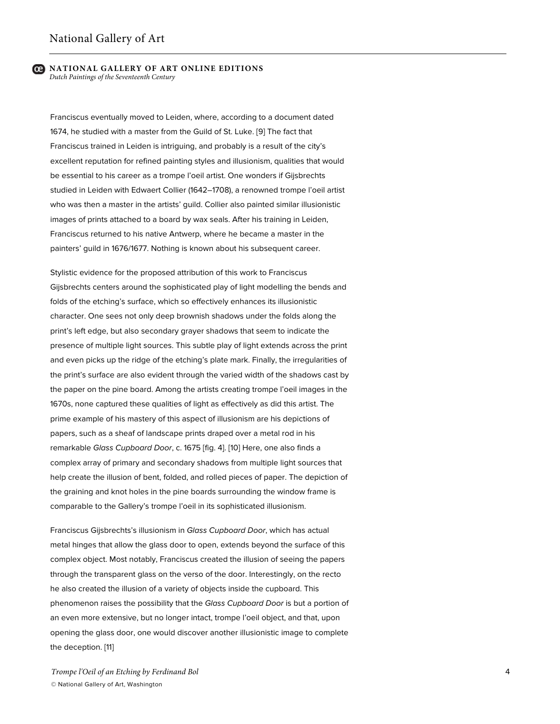Franciscus eventually moved to Leiden, where, according to a document dated 1674, he studied with a master from the Guild of St. Luke. [9] The fact that Franciscus trained in Leiden is intriguing, and probably is a result of the city's excellent reputation for refined painting styles and illusionism, qualities that would be essential to his career as a trompe l'oeil artist. One wonders if Gijsbrechts studied in Leiden with Edwaert Collier (1642–1708), a renowned trompe l'oeil artist who was then a master in the artists' guild. Collier also painted similar illusionistic images of prints attached to a board by wax seals. After his training in Leiden, Franciscus returned to his native Antwerp, where he became a master in the painters' guild in 1676/1677. Nothing is known about his subsequent career.

Stylistic evidence for the proposed attribution of this work to Franciscus Gijsbrechts centers around the sophisticated play of light modelling the bends and folds of the etching's surface, which so effectively enhances its illusionistic character. One sees not only deep brownish shadows under the folds along the print's left edge, but also secondary grayer shadows that seem to indicate the presence of multiple light sources. This subtle play of light extends across the print and even picks up the ridge of the etching's plate mark. Finally, the irregularities of the print's surface are also evident through the varied width of the shadows cast by the paper on the pine board. Among the artists creating trompe l'oeil images in the 1670s, none captured these qualities of light as effectively as did this artist. The prime example of his mastery of this aspect of illusionism are his depictions of papers, such as a sheaf of landscape prints draped over a metal rod in his remarkable *Glass Cupboard Door*, c. 1675 [fig. 4]. [10] Here, one also finds a complex array of primary and secondary shadows from multiple light sources that help create the illusion of bent, folded, and rolled pieces of paper. The depiction of the graining and knot holes in the pine boards surrounding the window frame is comparable to the Gallery's trompe l'oeil in its sophisticated illusionism.

Franciscus Gijsbrechts's illusionism in *Glass Cupboard Door*, which has actual metal hinges that allow the glass door to open, extends beyond the surface of this complex object. Most notably, Franciscus created the illusion of seeing the papers through the transparent glass on the verso of the door. Interestingly, on the recto he also created the illusion of a variety of objects inside the cupboard. This phenomenon raises the possibility that the *Glass Cupboard Door* is but a portion of an even more extensive, but no longer intact, trompe l'oeil object, and that, upon opening the glass door, one would discover another illusionistic image to complete the deception. [11]

*Trompe l'Oeil of an Etching by Ferdinand Bol* © National Gallery of Art, Washington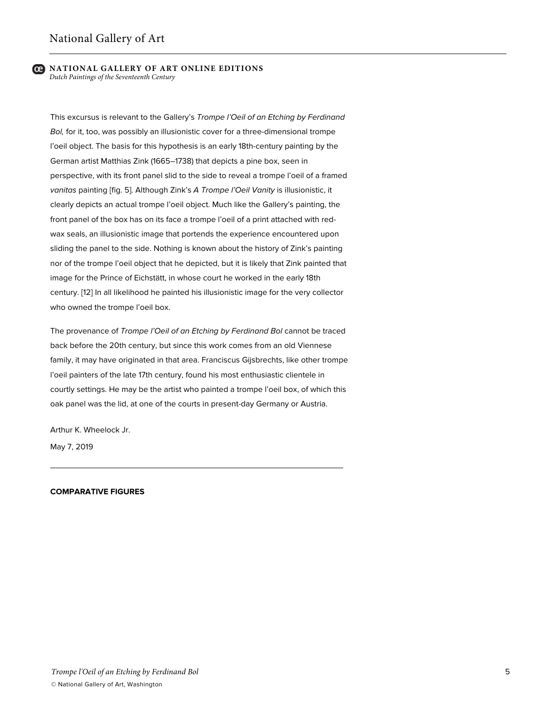This excursus is relevant to the Gallery's *Trompe l'Oeil of an Etching by Ferdinand Bol,* for it, too, was possibly an illusionistic cover for a three-dimensional trompe l'oeil object. The basis for this hypothesis is an early 18th-century painting by the German artist Matthias Zink (1665–1738) that depicts a pine box, seen in perspective, with its front panel slid to the side to reveal a trompe l'oeil of a framed *vanitas* painting [fig. 5]. Although Zink's *A Trompe l'Oeil Vanity* is illusionistic, it clearly depicts an actual trompe l'oeil object. Much like the Gallery's painting, the front panel of the box has on its face a trompe l'oeil of a print attached with redwax seals, an illusionistic image that portends the experience encountered upon sliding the panel to the side. Nothing is known about the history of Zink's painting nor of the trompe l'oeil object that he depicted, but it is likely that Zink painted that image for the Prince of Eichstätt, in whose court he worked in the early 18th century. [12] In all likelihood he painted his illusionistic image for the very collector who owned the trompe l'oeil box.

The provenance of *Trompe l'Oeil of an Etching by Ferdinand Bol* cannot be traced back before the 20th century, but since this work comes from an old Viennese family, it may have originated in that area. Franciscus Gijsbrechts, like other trompe l'oeil painters of the late 17th century, found his most enthusiastic clientele in courtly settings. He may be the artist who painted a trompe l'oeil box, of which this oak panel was the lid, at one of the courts in present-day Germany or Austria.

Arthur K. Wheelock Jr.

May 7, 2019

#### **COMPARATIVE FIGURES**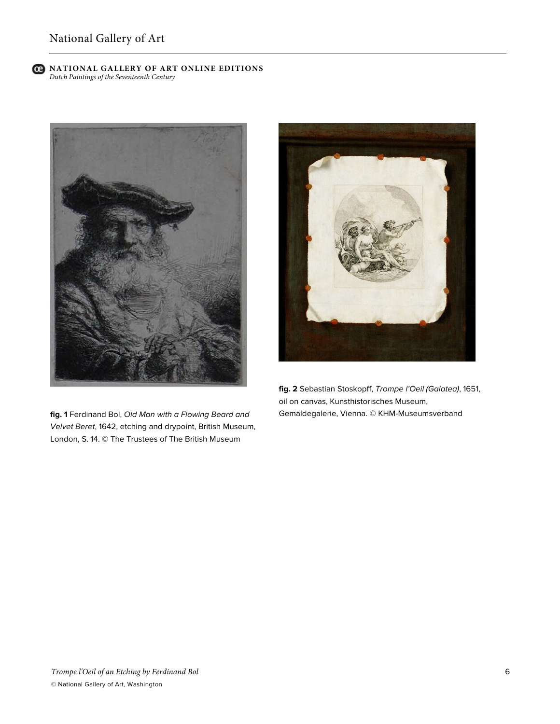

**fig. 1** Ferdinand Bol, *Old Man with a Flowing Beard and Velvet Beret*, 1642, etching and drypoint, British Museum, London, S. 14. © The Trustees of The British Museum



**fig. 2** Sebastian Stoskopff, *Trompe l'Oeil (Galatea)*, 1651, oil on canvas, Kunsthistorisches Museum, Gemäldegalerie, Vienna. © KHM-Museumsverband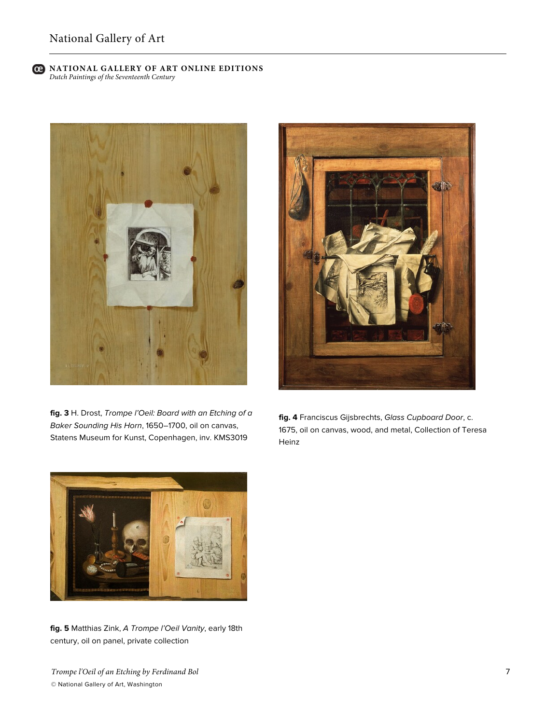

**fig. 3** H. Drost, *Trompe l'Oeil: Board with an Etching of a Baker Sounding His Horn*, 1650–1700, oil on canvas, Statens Museum for Kunst, Copenhagen, inv. KMS3019



**fig. 4** Franciscus Gijsbrechts, *Glass Cupboard Door*, c. 1675, oil on canvas, wood, and metal, Collection of Teresa Heinz



**fig. 5** Matthias Zink, *A Trompe l'Oeil Vanity*, early 18th century, oil on panel, private collection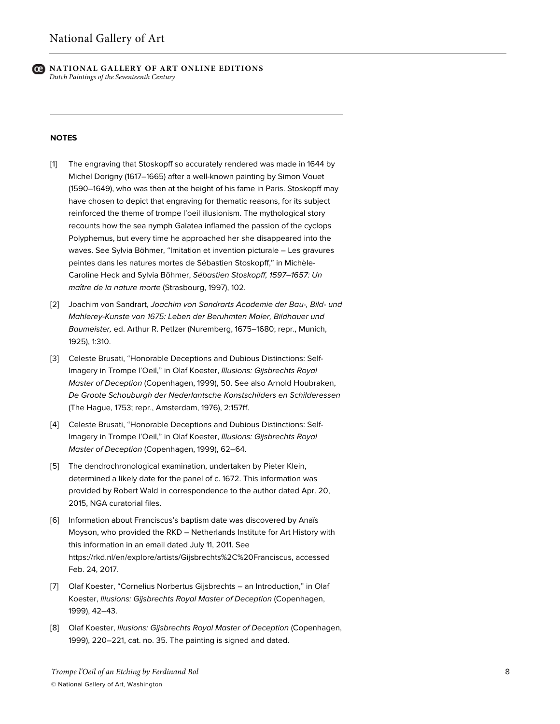

#### **NOTES**

- [1] The engraving that Stoskopff so accurately rendered was made in 1644 by Michel Dorigny (1617–1665) after a well-known painting by Simon Vouet (1590–1649), who was then at the height of his fame in Paris. Stoskopff may have chosen to depict that engraving for thematic reasons, for its subject reinforced the theme of trompe l'oeil illusionism. The mythological story recounts how the sea nymph Galatea inflamed the passion of the cyclops Polyphemus, but every time he approached her she disappeared into the waves. See Sylvia Böhmer, "Imitation et invention picturale – Les gravures peintes dans les natures mortes de Sébastien Stoskopff," in Michèle-Caroline Heck and Sylvia Böhmer, *Sébastien Stoskopff, 1597–1657: Un maître de la nature morte* (Strasbourg, 1997), 102.
- [2] Joachim von Sandrart, *Joachim von Sandrarts Academie der Bau-, Bild- und Mahlerey-Kunste von 1675: Leben der Beruhmten Maler, Bildhauer und Baumeister,* ed. Arthur R. Petlzer (Nuremberg, 1675–1680; repr., Munich, 1925), 1:310.
- [3] Celeste Brusati, "Honorable Deceptions and Dubious Distinctions: Self-Imagery in Trompe l'Oeil," in Olaf Koester, *Illusions: Gijsbrechts Royal Master of Deception* (Copenhagen, 1999), 50. See also Arnold Houbraken, *De Groote Schouburgh der Nederlantsche Konstschilders en Schilderessen* (The Hague, 1753; repr., Amsterdam, 1976), 2:157ff.
- [4] Celeste Brusati, "Honorable Deceptions and Dubious Distinctions: Self-Imagery in Trompe l'Oeil," in Olaf Koester, *Illusions: Gijsbrechts Royal Master of Deception* (Copenhagen, 1999), 62–64.
- [5] The dendrochronological examination, undertaken by Pieter Klein, determined a likely date for the panel of c. 1672. This information was provided by Robert Wald in correspondence to the author dated Apr. 20, 2015, NGA curatorial files.
- [6] Information about Franciscus's baptism date was discovered by Anaïs Moyson, who provided the RKD – Netherlands Institute for Art History with this information in an email dated July 11, 2011. See https://rkd.nl/en/explore/artists/Gijsbrechts%2C%20Franciscus, accessed Feb. 24, 2017.
- [7] Olaf Koester, "Cornelius Norbertus Gijsbrechts an Introduction," in Olaf Koester, *Illusions: Gijsbrechts Royal Master of Deception* (Copenhagen, 1999), 42–43.
- [8] Olaf Koester, *Illusions: Gijsbrechts Royal Master of Deception* (Copenhagen, 1999), 220–221, cat. no. 35. The painting is signed and dated.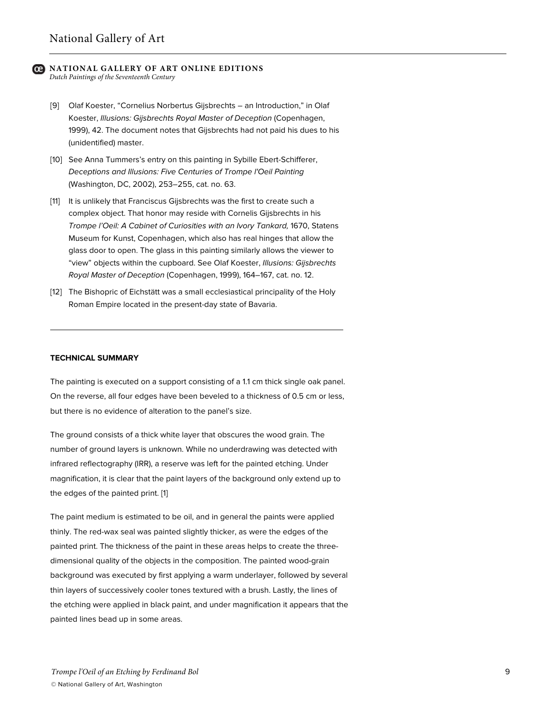- [9] Olaf Koester, "Cornelius Norbertus Gijsbrechts an Introduction," in Olaf Koester, *Illusions: Gijsbrechts Royal Master of Deception* (Copenhagen, 1999), 42. The document notes that Gijsbrechts had not paid his dues to his (unidentified) master.
- [10] See Anna Tummers's entry on this painting in Sybille Ebert-Schifferer, *Deceptions and Illusions: Five Centuries of Trompe l'Oeil Painting* (Washington, DC, 2002), 253–255, cat. no. 63.
- [11] It is unlikely that Franciscus Gijsbrechts was the first to create such a complex object. That honor may reside with Cornelis Gijsbrechts in his *Trompe l'Oeil: A Cabinet of Curiosities with an Ivory Tankard,* 1670, Statens Museum for Kunst, Copenhagen, which also has real hinges that allow the glass door to open. The glass in this painting similarly allows the viewer to "view" objects within the cupboard. See Olaf Koester, *Illusions: Gijsbrechts Royal Master of Deception* (Copenhagen, 1999), 164–167, cat. no. 12.
- [12] The Bishopric of Eichstätt was a small ecclesiastical principality of the Holy Roman Empire located in the present-day state of Bavaria.

#### **TECHNICAL SUMMARY**

The painting is executed on a support consisting of a 1.1 cm thick single oak panel. On the reverse, all four edges have been beveled to a thickness of 0.5 cm or less, but there is no evidence of alteration to the panel's size.

The ground consists of a thick white layer that obscures the wood grain. The number of ground layers is unknown. While no underdrawing was detected with infrared reflectography (IRR), a reserve was left for the painted etching. Under magnification, it is clear that the paint layers of the background only extend up to the edges of the painted print. [1]

The paint medium is estimated to be oil, and in general the paints were applied thinly. The red-wax seal was painted slightly thicker, as were the edges of the painted print. The thickness of the paint in these areas helps to create the threedimensional quality of the objects in the composition. The painted wood-grain background was executed by first applying a warm underlayer, followed by several thin layers of successively cooler tones textured with a brush. Lastly, the lines of the etching were applied in black paint, and under magnification it appears that the painted lines bead up in some areas.